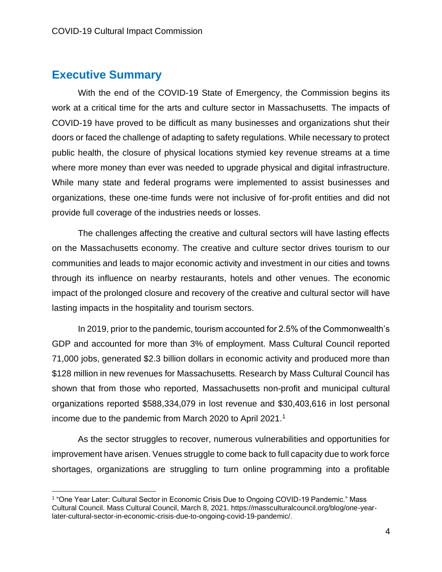## **Executive Summary**

With the end of the COVID-19 State of Emergency, the Commission begins its work at a critical time for the arts and culture sector in Massachusetts. The impacts of COVID-19 have proved to be difficult as many businesses and organizations shut their doors or faced the challenge of adapting to safety regulations. While necessary to protect public health, the closure of physical locations stymied key revenue streams at a time where more money than ever was needed to upgrade physical and digital infrastructure. While many state and federal programs were implemented to assist businesses and organizations, these one-time funds were not inclusive of for-profit entities and did not provide full coverage of the industries needs or losses.

The challenges affecting the creative and cultural sectors will have lasting effects on the Massachusetts economy. The creative and culture sector drives tourism to our communities and leads to major economic activity and investment in our cities and towns through its influence on nearby restaurants, hotels and other venues. The economic impact of the prolonged closure and recovery of the creative and cultural sector will have lasting impacts in the hospitality and tourism sectors.

In 2019, prior to the pandemic, tourism accounted for 2.5% of the Commonwealth's GDP and accounted for more than 3% of employment. Mass Cultural Council reported 71,000 jobs, generated \$2.3 billion dollars in economic activity and produced more than \$128 million in new revenues for Massachusetts. Research by Mass Cultural Council has shown that from those who reported, Massachusetts non-profit and municipal cultural organizations reported \$588,334,079 in lost revenue and \$30,403,616 in lost personal income due to the pandemic from March 2020 to April 2021.<sup>1</sup>

As the sector struggles to recover, numerous vulnerabilities and opportunities for improvement have arisen. Venues struggle to come back to full capacity due to work force shortages, organizations are struggling to turn online programming into a profitable

<sup>1</sup> "One Year Later: Cultural Sector in Economic Crisis Due to Ongoing COVID-19 Pandemic." Mass Cultural Council. Mass Cultural Council, March 8, 2021. https://massculturalcouncil.org/blog/one-yearlater-cultural-sector-in-economic-crisis-due-to-ongoing-covid-19-pandemic/.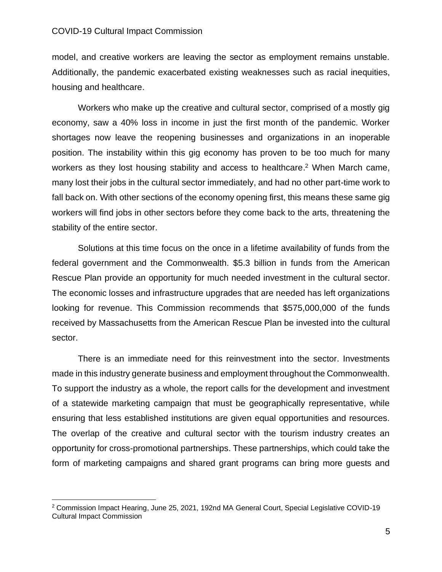## COVID-19 Cultural Impact Commission

model, and creative workers are leaving the sector as employment remains unstable. Additionally, the pandemic exacerbated existing weaknesses such as racial inequities, housing and healthcare.

Workers who make up the creative and cultural sector, comprised of a mostly gig economy, saw a 40% loss in income in just the first month of the pandemic. Worker shortages now leave the reopening businesses and organizations in an inoperable position. The instability within this gig economy has proven to be too much for many workers as they lost housing stability and access to healthcare.<sup>2</sup> When March came, many lost their jobs in the cultural sector immediately, and had no other part-time work to fall back on. With other sections of the economy opening first, this means these same gig workers will find jobs in other sectors before they come back to the arts, threatening the stability of the entire sector.

Solutions at this time focus on the once in a lifetime availability of funds from the federal government and the Commonwealth. \$5.3 billion in funds from the American Rescue Plan provide an opportunity for much needed investment in the cultural sector. The economic losses and infrastructure upgrades that are needed has left organizations looking for revenue. This Commission recommends that \$575,000,000 of the funds received by Massachusetts from the American Rescue Plan be invested into the cultural sector.

There is an immediate need for this reinvestment into the sector. Investments made in this industry generate business and employment throughout the Commonwealth. To support the industry as a whole, the report calls for the development and investment of a statewide marketing campaign that must be geographically representative, while ensuring that less established institutions are given equal opportunities and resources. The overlap of the creative and cultural sector with the tourism industry creates an opportunity for cross-promotional partnerships. These partnerships, which could take the form of marketing campaigns and shared grant programs can bring more guests and

<sup>2</sup> Commission Impact Hearing, June 25, 2021, 192nd MA General Court, Special Legislative COVID-19 Cultural Impact Commission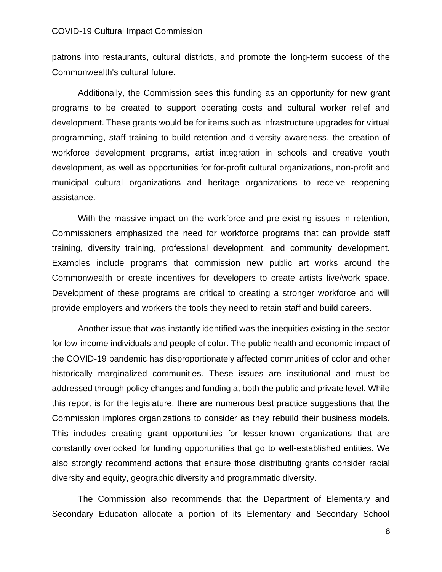patrons into restaurants, cultural districts, and promote the long-term success of the Commonwealth's cultural future.

Additionally, the Commission sees this funding as an opportunity for new grant programs to be created to support operating costs and cultural worker relief and development. These grants would be for items such as infrastructure upgrades for virtual programming, staff training to build retention and diversity awareness, the creation of workforce development programs, artist integration in schools and creative youth development, as well as opportunities for for-profit cultural organizations, non-profit and municipal cultural organizations and heritage organizations to receive reopening assistance.

With the massive impact on the workforce and pre-existing issues in retention, Commissioners emphasized the need for workforce programs that can provide staff training, diversity training, professional development, and community development. Examples include programs that commission new public art works around the Commonwealth or create incentives for developers to create artists live/work space. Development of these programs are critical to creating a stronger workforce and will provide employers and workers the tools they need to retain staff and build careers.

Another issue that was instantly identified was the inequities existing in the sector for low-income individuals and people of color. The public health and economic impact of the COVID-19 pandemic has disproportionately affected communities of color and other historically marginalized communities. These issues are institutional and must be addressed through policy changes and funding at both the public and private level. While this report is for the legislature, there are numerous best practice suggestions that the Commission implores organizations to consider as they rebuild their business models. This includes creating grant opportunities for lesser-known organizations that are constantly overlooked for funding opportunities that go to well-established entities. We also strongly recommend actions that ensure those distributing grants consider racial diversity and equity, geographic diversity and programmatic diversity.

The Commission also recommends that the Department of Elementary and Secondary Education allocate a portion of its Elementary and Secondary School

6